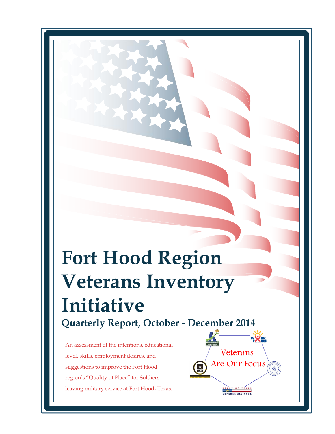# **Fort Hood Region Veterans Inventory Initiative Quarterly Report, October - December 2014**

Veterans

Are Our Focus

OF TEXAS DEFENSE ALLIANCE

An assessment of the intentions, educational level, skills, employment desires, and suggestions to improve the Fort Hood region's "Quality of Place" for Soldiers leaving military service at Fort Hood, Texas.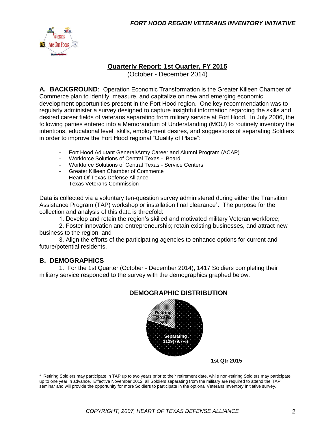

#### **Quarterly Report: 1st Quarter, FY 2015**

(October - December 2014)

**A. BACKGROUND**: Operation Economic Transformation is the Greater Killeen Chamber of Commerce plan to identify, measure, and capitalize on new and emerging economic development opportunities present in the Fort Hood region. One key recommendation was to regularly administer a survey designed to capture insightful information regarding the skills and desired career fields of veterans separating from military service at Fort Hood. In July 2006, the following parties entered into a Memorandum of Understanding (MOU) to routinely inventory the intentions, educational level, skills, employment desires, and suggestions of separating Soldiers in order to improve the Fort Hood regional "Quality of Place":

- Fort Hood Adjutant General/Army Career and Alumni Program (ACAP)
- Workforce Solutions of Central Texas Board
- Workforce Solutions of Central Texas Service Centers
- Greater Killeen Chamber of Commerce
- Heart Of Texas Defense Alliance
- Texas Veterans Commission

Data is collected via a voluntary ten-question survey administered during either the Transition Assistance Program (TAP) workshop or installation final clearance<sup>1</sup>. The purpose for the collection and analysis of this data is threefold:

1. Develop and retain the region's skilled and motivated military Veteran workforce;

2. Foster innovation and entrepreneurship; retain existing businesses, and attract new business to the region; and

3. Align the efforts of the participating agencies to enhance options for current and future/potential residents.

#### **B. DEMOGRAPHICS**

1. For the 1st Quarter (October - December 2014), 1417 Soldiers completing their military service responded to the survey with the demographics graphed below.



#### **DEMOGRAPHIC DISTRIBUTION**

**1st Qtr 2015**

 $1$  Retiring Soldiers may participate in TAP up to two years prior to their retirement date, while non-retiring Soldiers may participate up to one year in advance. Effective November 2012, all Soldiers separating from the military are required to attend the TAP seminar and will provide the opportunity for more Soldiers to participate in the optional Veterans Inventory Initiative survey.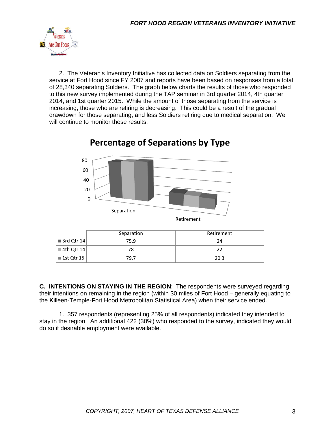

2. The Veteran's Inventory Initiative has collected data on Soldiers separating from the service at Fort Hood since FY 2007 and reports have been based on responses from a total of 28,340 separating Soldiers. The graph below charts the results of those who responded to this new survey implemented during the TAP seminar in 3rd quarter 2014, 4th quarter 2014, and 1st quarter 2015. While the amount of those separating from the service is increasing, those who are retiring is decreasing. This could be a result of the gradual drawdown for those separating, and less Soldiers retiring due to medical separation. We will continue to monitor these results.



# **Percentage of Separations by Type**

|                           | Separation | Retirement |
|---------------------------|------------|------------|
| $\blacksquare$ 3rd Qtr 14 | 75.9       | 24         |
| $\blacksquare$ 4th Qtr 14 | 78         | 22         |
| ■ 1st Qtr 15              | 79.7       | 20.3       |

**C. INTENTIONS ON STAYING IN THE REGION**: The respondents were surveyed regarding their intentions on remaining in the region (within 30 miles of Fort Hood – generally equating to the Killeen-Temple-Fort Hood Metropolitan Statistical Area) when their service ended.

1. 357 respondents (representing 25% of all respondents) indicated they intended to stay in the region. An additional 422 (30%) who responded to the survey, indicated they would do so if desirable employment were available.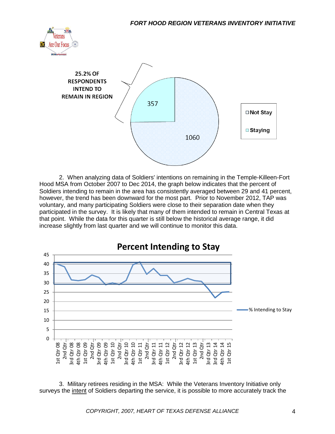



2. When analyzing data of Soldiers' intentions on remaining in the Temple-Killeen-Fort Hood MSA from October 2007 to Dec 2014, the graph below indicates that the percent of Soldiers intending to remain in the area has consistently averaged between 29 and 41 percent, however, the trend has been downward for the most part. Prior to November 2012, TAP was voluntary, and many participating Soldiers were close to their separation date when they participated in the survey. It is likely that many of them intended to remain in Central Texas at that point. While the data for this quarter is still below the historical average range, it did increase slightly from last quarter and we will continue to monitor this data.



3. Military retirees residing in the MSA: While the Veterans Inventory Initiative only surveys the intent of Soldiers departing the service, it is possible to more accurately track the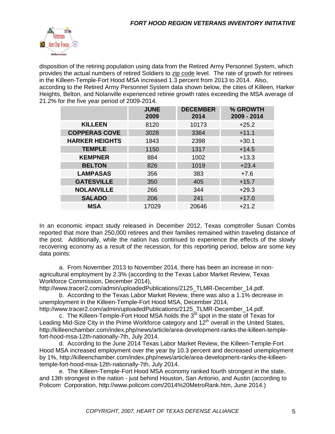

disposition of the retiring population using data from the Retired Army Personnel System, which provides the actual numbers of retired Soldiers to zip code level. The rate of growth for retirees in the Killeen-Temple-Fort Hood MSA increased 1.3 percent from 2013 to 2014. Also, according to the Retired Army Personnel System data shown below, the cities of Killeen, Harker Heights, Belton, and Nolanville experienced retiree growth rates exceeding the MSA average of 21.2% for the five year period of 2009-2014.

|                       | <b>JUNE</b><br>2009 | <b>DECEMBER</b><br>2014 | % GROWTH<br>2009 - 2014 |
|-----------------------|---------------------|-------------------------|-------------------------|
| <b>KILLEEN</b>        | 8120                | 10173                   | $+25.2$                 |
| <b>COPPERAS COVE</b>  | 3028                | 3364                    | $+11.1$                 |
| <b>HARKER HEIGHTS</b> | 1843                | 2398                    | $+30.1$                 |
| <b>TEMPLE</b>         | 1150                | 1317                    | $+14.5$                 |
| <b>KEMPNER</b>        | 884                 | 1002                    | $+13.3$                 |
| <b>BELTON</b>         | 826                 | 1019                    | $+23.4$                 |
| <b>LAMPASAS</b>       | 356                 | 383                     | $+7.6$                  |
| <b>GATESVILLE</b>     | 350                 | 405                     | $+15.7$                 |
| <b>NOLANVILLE</b>     | 266                 | 344                     | $+29.3$                 |
| <b>SALADO</b>         | 206                 | 241                     | $+17.0$                 |
| <b>MSA</b>            | 17029               | 20646                   | $+21.2$                 |

In an economic impact study released in December 2012, Texas comptroller Susan Combs reported that more than 250,000 retirees and their families remained within traveling distance of the post. Additionally, while the nation has continued to experience the effects of the slowly recovering economy as a result of the recession, for this reporting period, below are some key data points:

a. From November 2013 to November 2014, there has been an increase in nonagricultural employment by 2.3% (according to the Texas Labor Market Review, Texas Workforce Commission, December 2014),

http://www.tracer2.com/admin/uploadedPublications/2125\_TLMR-December\_14.pdf. b. According to the Texas Labor Market Review, there was also a 1.1% decrease in unemployment in the Killeen-Temple-Fort Hood MSA, December 2014,

http://www.tracer2.com/admin/uploadedPublications/2125\_TLMR-December\_14.pdf. c. The Killeen-Temple-Fort Hood MSA holds the  $3^{rd}$  spot in the state of Texas for

Leading Mid-Size City in the Prime Workforce category and  $12<sup>th</sup>$  overall in the United States, http://killeenchamber.com/index.php/news/article/area-development-ranks-the-killeen-templefort-hood-msa-12th-nationally-7th, July 2014.

d. According to the June 2014 Texas Labor Market Review, the Killeen-Temple-Fort Hood MSA increased employment over the year by 10.3 percent and decreased unemployment by 1%, http://killeenchamber.com/index.php/news/article/area-development-ranks-the-killeentemple-fort-hood-msa-12th-nationally-7th, July 2014.

e. The Killeen-Temple-Fort Hood MSA economy ranked fourth strongest in the state, and 13th strongest in the nation - just behind Houston, San Antonio, and Austin (according to Policom Corporation, http://www.policom.com/2014%20MetroRank.htm, June 2014.)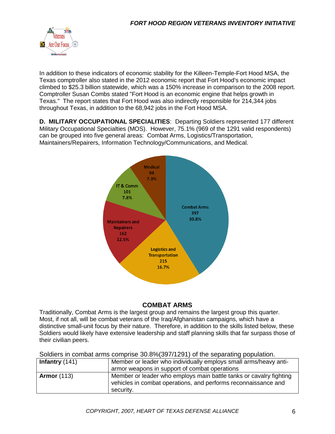

In addition to these indicators of economic stability for the Killeen-Temple-Fort Hood MSA, the Texas comptroller also stated in the 2012 economic report that Fort Hood's economic impact climbed to \$25.3 billion statewide, which was a 150% increase in comparison to the 2008 report. Comptroller Susan Combs stated "Fort Hood is an economic engine that helps growth in Texas." The report states that Fort Hood was also indirectly responsible for 214,344 jobs throughout Texas, in addition to the 68,942 jobs in the Fort Hood MSA.

**D. MILITARY OCCUPATIONAL SPECIALITIES**: Departing Soldiers represented 177 different Military Occupational Specialties (MOS). However, 75.1% (969 of the 1291 valid respondents) can be grouped into five general areas: Combat Arms, Logistics/Transportation, Maintainers/Repairers, Information Technology/Communications, and Medical.



#### **COMBAT ARMS**

Traditionally, Combat Arms is the largest group and remains the largest group this quarter. Most, if not all, will be combat veterans of the Iraq/Afghanistan campaigns, which have a distinctive small-unit focus by their nature. Therefore, in addition to the skills listed below, these Soldiers would likely have extensive leadership and staff planning skills that far surpass those of their civilian peers.

Soldiers in combat arms comprise 30.8%(397/1291) of the separating population.

| Infantry $(141)$   | Member or leader who individually employs small arms/heavy anti-<br>armor weapons in support of combat operations                                 |
|--------------------|---------------------------------------------------------------------------------------------------------------------------------------------------|
| <b>Armor</b> (113) | Member or leader who employs main battle tanks or cavalry fighting<br>vehicles in combat operations, and performs reconnaissance and<br>security. |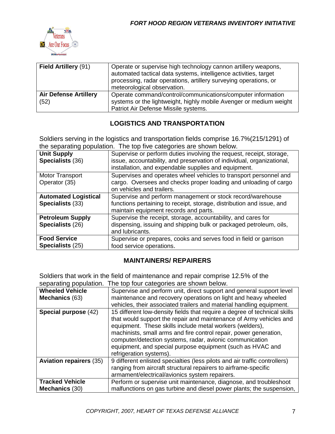

| <b>Field Artillery (91)</b>  | Operate or supervise high technology cannon artillery weapons,<br>automated tactical data systems, intelligence activities, target<br>processing, radar operations, artillery surveying operations, or<br>meteorological observation. |
|------------------------------|---------------------------------------------------------------------------------------------------------------------------------------------------------------------------------------------------------------------------------------|
| <b>Air Defense Artillery</b> | Operate command/control/communications/computer information                                                                                                                                                                           |
| (52)                         | systems or the lightweight, highly mobile Avenger or medium weight<br>Patriot Air Defense Missile systems.                                                                                                                            |

### **LOGISTICS AND TRANSPORTATION**

Soldiers serving in the logistics and transportation fields comprise 16.7%(215/1291) of the separating population. The top five categories are shown below.

| <b>Unit Supply</b><br>Specialists (36) | Supervise or perform duties involving the request, receipt, storage,<br>issue, accountability, and preservation of individual, organizational,<br>installation, and expendable supplies and equipment. |
|----------------------------------------|--------------------------------------------------------------------------------------------------------------------------------------------------------------------------------------------------------|
| Motor Transport<br>Operator (35)       | Supervises and operates wheel vehicles to transport personnel and<br>cargo. Oversees and checks proper loading and unloading of cargo                                                                  |
|                                        | on vehicles and trailers.                                                                                                                                                                              |
| <b>Automated Logistical</b>            | Supervise and perform management or stock record/warehouse                                                                                                                                             |
| Specialists (33)                       | functions pertaining to receipt, storage, distribution and issue, and                                                                                                                                  |
|                                        | maintain equipment records and parts.                                                                                                                                                                  |
| <b>Petroleum Supply</b>                | Supervise the receipt, storage, accountability, and cares for                                                                                                                                          |
| Specialists (26)                       | dispensing, issuing and shipping bulk or packaged petroleum, oils,                                                                                                                                     |
|                                        | and lubricants.                                                                                                                                                                                        |
| <b>Food Service</b>                    | Supervise or prepares, cooks and serves food in field or garrison                                                                                                                                      |
| Specialists (25)                       | food service operations.                                                                                                                                                                               |

#### **MAINTAINERS/ REPAIRERS**

Soldiers that work in the field of maintenance and repair comprise 12.5% of the separating population. The top four categories are shown below.

| scparating population.         | The top four categories are shown below.                                   |
|--------------------------------|----------------------------------------------------------------------------|
| <b>Wheeled Vehicle</b>         | Supervise and perform unit, direct support and general support level       |
| Mechanics (63)                 | maintenance and recovery operations on light and heavy wheeled             |
|                                | vehicles, their associated trailers and material handling equipment.       |
| Special purpose (42)           | 15 different low-density fields that require a degree of technical skills  |
|                                | that would support the repair and maintenance of Army vehicles and         |
|                                | equipment. These skills include metal workers (welders),                   |
|                                | machinists, small arms and fire control repair, power generation,          |
|                                | computer/detection systems, radar, avionic communication                   |
|                                | equipment, and special purpose equipment (such as HVAC and                 |
|                                | refrigeration systems).                                                    |
| <b>Aviation repairers (35)</b> | 9 different enlisted specialties (less pilots and air traffic controllers) |
|                                | ranging from aircraft structural repairers to airframe-specific            |
|                                | armament/electrical/avionics system repairers.                             |
| <b>Tracked Vehicle</b>         | Perform or supervise unit maintenance, diagnose, and troubleshoot          |
| Mechanics (30)                 | malfunctions on gas turbine and diesel power plants; the suspension,       |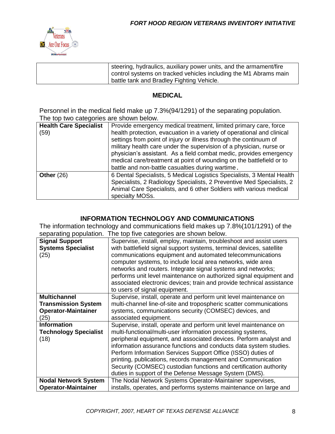

| steering, hydraulics, auxiliary power units, and the armament/fire |
|--------------------------------------------------------------------|
| control systems on tracked vehicles including the M1 Abrams main   |
| battle tank and Bradley Fighting Vehicle.                          |

#### **MEDICAL**

Personnel in the medical field make up 7.3%(94/1291) of the separating population. The top two categories are shown below.

| <b>Health Care Specialist</b><br>(59) | Provide emergency medical treatment, limited primary care, force<br>health protection, evacuation in a variety of operational and clinical<br>settings from point of injury or illness through the continuum of<br>military health care under the supervision of a physician, nurse or<br>physician's assistant. As a field combat medic, provides emergency<br>medical care/treatment at point of wounding on the battlefield or to<br>battle and non-battle casualties during wartime. |
|---------------------------------------|------------------------------------------------------------------------------------------------------------------------------------------------------------------------------------------------------------------------------------------------------------------------------------------------------------------------------------------------------------------------------------------------------------------------------------------------------------------------------------------|
| Other $(26)$                          | 6 Dental Specialists, 5 Medical Logistics Specialists, 3 Mental Health<br>Specialists, 2 Radiology Specialists, 2 Preventive Med Specialists, 2<br>Animal Care Specialists, and 6 other Soldiers with various medical<br>specialty MOSs.                                                                                                                                                                                                                                                 |

#### **INFORMATION TECHNOLOGY AND COMMUNICATIONS**

The information technology and communications field makes up 7.8%(101/1291) of the separating population. The top five categories are shown below.

| <b>Signal Support</b><br><b>Systems Specialist</b><br>(25) | Supervise, install, employ, maintain, troubleshoot and assist users<br>with battlefield signal support systems, terminal devices, satellite<br>communications equipment and automated telecommunications<br>computer systems, to include local area networks, wide area<br>networks and routers. Integrate signal systems and networks;<br>performs unit level maintenance on authorized signal equipment and<br>associated electronic devices; train and provide technical assistance<br>to users of signal equipment.                   |
|------------------------------------------------------------|-------------------------------------------------------------------------------------------------------------------------------------------------------------------------------------------------------------------------------------------------------------------------------------------------------------------------------------------------------------------------------------------------------------------------------------------------------------------------------------------------------------------------------------------|
| <b>Multichannel</b>                                        | Supervise, install, operate and perform unit level maintenance on                                                                                                                                                                                                                                                                                                                                                                                                                                                                         |
| <b>Transmission System</b>                                 | multi-channel line-of-site and tropospheric scatter communications                                                                                                                                                                                                                                                                                                                                                                                                                                                                        |
| <b>Operator-Maintainer</b>                                 | systems, communications security (COMSEC) devices, and                                                                                                                                                                                                                                                                                                                                                                                                                                                                                    |
| (25)                                                       | associated equipment.                                                                                                                                                                                                                                                                                                                                                                                                                                                                                                                     |
| <b>Information</b><br><b>Technology Specialist</b><br>(18) | Supervise, install, operate and perform unit level maintenance on<br>multi-functional/multi-user information processing systems,<br>peripheral equipment, and associated devices. Perform analyst and<br>information assurance functions and conducts data system studies.<br>Perform Information Services Support Office (ISSO) duties of<br>printing, publications, records management and Communication<br>Security (COMSEC) custodian functions and certification authority<br>duties in support of the Defense Message System (DMS). |
| <b>Nodal Network System</b>                                | The Nodal Network Systems Operator-Maintainer supervises,                                                                                                                                                                                                                                                                                                                                                                                                                                                                                 |
| <b>Operator-Maintainer</b>                                 | installs, operates, and performs systems maintenance on large and                                                                                                                                                                                                                                                                                                                                                                                                                                                                         |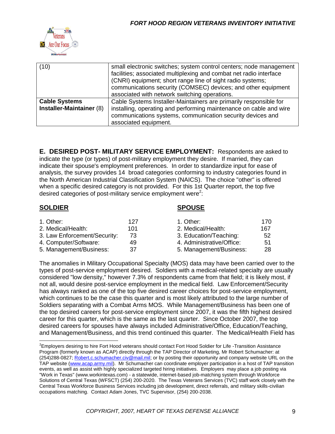

| (10)                                             | small electronic switches; system control centers; node management<br>facilities; associated multiplexing and combat net radio interface<br>(CNRI) equipment; short range line of sight radio systems;<br>communications security (COMSEC) devices; and other equipment<br>associated with network switching operations. |
|--------------------------------------------------|--------------------------------------------------------------------------------------------------------------------------------------------------------------------------------------------------------------------------------------------------------------------------------------------------------------------------|
| <b>Cable Systems</b><br>Installer-Maintainer (8) | Cable Systems Installer-Maintainers are primarily responsible for<br>installing, operating and performing maintenance on cable and wire<br>communications systems, communication security devices and<br>associated equipment.                                                                                           |

**E. DESIRED POST- MILITARY SERVICE EMPLOYMENT:** Respondents are asked to indicate the type (or types) of post-military employment they desire. If married, they can indicate their spouse's employment preferences. In order to standardize input for ease of analysis, the survey provides 14 broad categories conforming to industry categories found in the North American Industrial Classification System (NAICS). The choice "other" is offered when a specific desired category is not provided. For this 1st Quarter report, the top five desired categories of post-military service employment were<sup>2</sup>:

#### **SOLDIER SPOUSE**

| 1. Other:                    | 127 | 1. Other:                 | 170 |
|------------------------------|-----|---------------------------|-----|
| 2. Medical/Health:           | 101 | 2. Medical/Health:        | 167 |
| 3. Law Enforcement/Security: | 73  | 3. Education/Teaching:    | 52  |
| 4. Computer/Software:        | 49  | 4. Administrative/Office: | 51  |
| 5. Management/Business:      | 37  | 5. Management/Business:   | 28  |

The anomalies in Military Occupational Specialty (MOS) data may have been carried over to the types of post-service employment desired. Soldiers with a medical-related specialty are usually considered "low density," however 7.3% of respondents came from that field; it is likely most, if not all, would desire post-service employment in the medical field. Law Enforcement/Security has always ranked as one of the top five desired career choices for post-service employment, which continues to be the case this quarter and is most likely attributed to the large number of Soldiers separating with a Combat Arms MOS. While Management/Business has been one of the top desired careers for post-service employment since 2007, it was the fifth highest desired career for this quarter, which is the same as the last quarter. Since October 2007, the top desired careers for spouses have always included Administrative/Office, Education/Teaching, and Management/Business, and this trend continued this quarter. The Medical/Health Field has

<sup>&</sup>lt;sup>2</sup>Employers desiring to hire Fort Hood veterans should contact Fort Hood Soldier for Life -Transition Assistance Program (formerly known as ACAP) directly through the TAP Director of Marketing, Mr Robert Schumacher: at (254)288-0827; [Robert.c.schumacher.civ@mail.mil;](mailto:Robert.c.schumacher.civ@mail.mil) or by posting their opportunity and company website URL on the TAP website [\(www.acap.army.mil\)](http://www.acap.army.mil/). Mr Schumacher can coordinate employer participation in a host of TAP transition events, as well as assist with highly specialized targeted hiring initiatives. Employers may place a job posting via "Work in Texas" (www.workintexas.com) - a statewide, internet-based job-matching system through Workforce Solutions of Central Texas (WFSCT) (254) 200-2020. The Texas Veterans Services (TVC) staff work closely with the Central Texas Workforce Business Services including job development, direct referrals, and military skills-civilian occupations matching. Contact Adam Jones, TVC Supervisor, (254) 200-2038.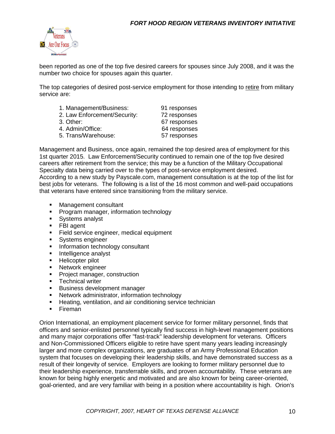

been reported as one of the top five desired careers for spouses since July 2008, and it was the number two choice for spouses again this quarter.

The top categories of desired post-service employment for those intending to retire from military service are:

| 91 responses |
|--------------|
| 72 responses |
| 67 responses |
| 64 responses |
| 57 responses |
|              |

Management and Business, once again, remained the top desired area of employment for this 1st quarter 2015. Law Enforcement/Security continued to remain one of the top five desired careers after retirement from the service; this may be a function of the Military Occupational Specialty data being carried over to the types of post-service employment desired. According to a new study by Payscale.com, management consultation is at the top of the list for best jobs for veterans. The following is a list of the 16 most common and well-paid occupations that veterans have entered since transitioning from the military service.

- Management consultant
- **Program manager, information technology**
- **Systems analyst**
- **FBI** agent
- Field service engineer, medical equipment
- **Systems engineer**
- **Information technology consultant**
- **Intelligence analyst**
- **Helicopter pilot**
- **Network engineer**
- **Project manager, construction**
- **Technical writer**
- **Business development manager**
- **Network administrator, information technology**
- **Heating, ventilation, and air conditioning service technician**
- **Fireman**

Orion International, an employment placement service for former military personnel, finds that officers and senior-enlisted personnel typically find success in high-level management positions and many major corporations offer "fast-track" leadership development for veterans. Officers and Non-Commissioned Officers eligible to retire have spent many years leading increasingly larger and more complex organizations, are graduates of an Army Professional Education system that focuses on developing their leadership skills, and have demonstrated success as a result of their longevity of service. Employers are looking to former military personnel due to their leadership experience, transferrable skills, and proven accountability. These veterans are known for being highly energetic and motivated and are also known for being career-oriented, goal-oriented, and are very familiar with being in a position where accountability is high. Orion's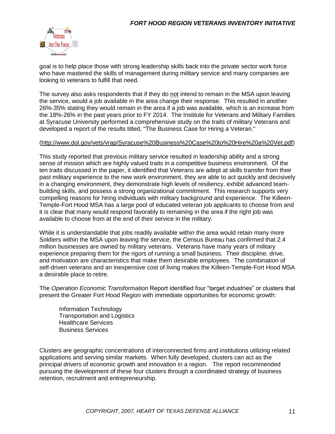

goal is to help place those with strong leadership skills back into the private sector work force who have mastered the skills of management during military service and many companies are looking to veterans to fulfill that need.

The survey also asks respondents that if they do not intend to remain in the MSA upon leaving the service, would a job available in the area change their response. This resulted in another 26%-35% stating they would remain in the area if a job was available, which is an increase from the 18%-26% in the past years prior to FY 2014. The Institute for Veterans and Military Families at Syracuse University performed a comprehensive study on the traits of military Veterans and developed a report of the results titled, "The Business Case for Hiring a Veteran."

#### [\(http://www.dol.gov/vets/vrap/Syracuse%20Business%20Case%20to%20Hire%20a%20Vet.pdf\)](http://www.dol.gov/vets/vrap/Syracuse%20Business%20Case%20to%20Hire%20a%20Vet.pdf)

This study reported that previous military service resulted in leadership ability and a strong sense of mission which are highly valued traits in a competitive business environment. Of the ten traits discussed in the paper, it identified that Veterans are adept at skills transfer from their past military experience to the new work environment, they are able to act quickly and decisively in a changing environment, they demonstrate high levels of resiliency, exhibit advanced teambuilding skills, and possess a strong organizational commitment. This research supports very compelling reasons for hiring individuals with military background and experience. The Killeen-Temple-Fort Hood MSA has a large pool of educated veteran job applicants to choose from and it is clear that many would respond favorably to remaining in the area if the right job was available to choose from at the end of their service in the military.

While it is understandable that jobs readily available within the area would retain many more Soldiers within the MSA upon leaving the service, the Census Bureau has confirmed that 2.4 million businesses are owned by military veterans. Veterans have many years of military experience preparing them for the rigors of running a small business. Their discipline, drive, and motivation are characteristics that make them desirable employees. The combination of self-driven veterans and an inexpensive cost of living makes the Killeen-Temple-Fort Hood MSA a desirable place to retire.

The *Operation Economic Transformation* Report identified four "target industries" or clusters that present the Greater Fort Hood Region with immediate opportunities for economic growth:

Information Technology Transportation and Logistics Healthcare Services Business Services

Clusters are geographic concentrations of interconnected firms and institutions utilizing related applications and serving similar markets. When fully developed, clusters can act as the principal drivers of economic growth and innovation in a region. The report recommended pursuing the development of these four clusters through a coordinated strategy of business retention, recruitment and entrepreneurship.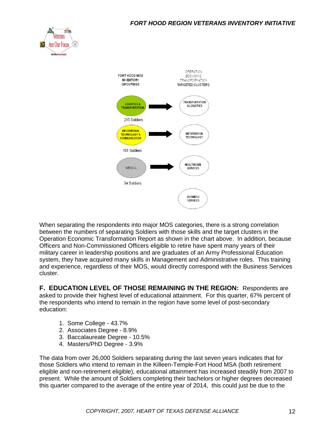



When separating the respondents into major MOS categories, there is a strong correlation between the numbers of separating Soldiers with those skills and the target clusters in the Operation Economic Transformation Report as shown in the chart above. In addition, because Officers and Non-Commissioned Officers eligible to retire have spent many years of their military career in leadership positions and are graduates of an Army Professional Education system, they have acquired many skills in Management and Administrative roles. This training and experience, regardless of their MOS, would directly correspond with the Business Services cluster.

**F. EDUCATION LEVEL OF THOSE REMAINING IN THE REGION:** Respondents are asked to provide their highest level of educational attainment. For this quarter, 67% percent of the respondents who intend to remain in the region have some level of post-secondary education:

- 1. Some College 43.7%
- 2. Associates Degree 8.9%
- 3. Baccalaureate Degree 10.5%
- 4. Masters/PhD Degree 3.9%

The data from over 26,000 Soldiers separating during the last seven years indicates that for those Soldiers who intend to remain in the Killeen-Temple-Fort Hood MSA (both retirement eligible and non-retirement eligible), educational attainment has increased steadily from 2007 to present. While the amount of Soldiers completing their bachelors or higher degrees decreased this quarter compared to the average of the entire year of 2014, this could just be due to the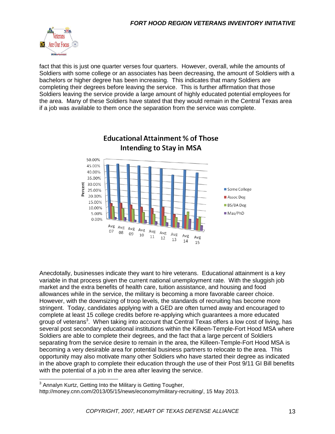

fact that this is just one quarter verses four quarters. However, overall, while the amounts of Soldiers with some college or an associates has been decreasing, the amount of Soldiers with a bachelors or higher degree has been increasing. This indicates that many Soldiers are completing their degrees before leaving the service. This is further affirmation that those Soldiers leaving the service provide a large amount of highly educated potential employees for the area. Many of these Soldiers have stated that they would remain in the Central Texas area if a job was available to them once the separation from the service was complete.



**Educational Attainment % of Those** 

Anecdotally, businesses indicate they want to hire veterans. Educational attainment is a key variable in that process given the current national unemployment rate. With the sluggish job market and the extra benefits of health care, tuition assistance, and housing and food allowances while in the service, the military is becoming a more favorable career choice. However, with the downsizing of troop levels, the standards of recruiting has become more stringent. Today, candidates applying with a GED are often turned away and encouraged to complete at least 15 college credits before re-applying which guarantees a more educated group of veterans<sup>3</sup>. When taking into account that Central Texas offers a low cost of living, has several post secondary educational institutions within the Killeen-Temple-Fort Hood MSA where Soldiers are able to complete their degrees, and the fact that a large percent of Soldiers separating from the service desire to remain in the area, the Killeen-Temple-Fort Hood MSA is becoming a very desirable area for potential business partners to relocate to the area. This opportunity may also motivate many other Soldiers who have started their degree as indicated in the above graph to complete their education through the use of their Post 9/11 GI Bill benefits with the potential of a job in the area after leaving the service.

 3 Annalyn Kurtz, Getting Into the Military is Getting Tougher,

http://money.cnn.com/2013/05/15/news/economy/military-recruiting/, 15 May 2013.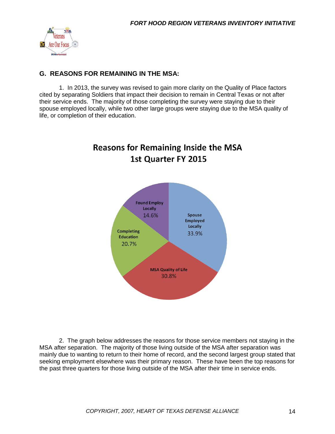

#### **G. REASONS FOR REMAINING IN THE MSA:**

1. In 2013, the survey was revised to gain more clarity on the Quality of Place factors cited by separating Soldiers that impact their decision to remain in Central Texas or not after their service ends. The majority of those completing the survey were staying due to their spouse employed locally, while two other large groups were staying due to the MSA quality of life, or completion of their education.

# **Reasons for Remaining Inside the MSA** 1st Quarter FY 2015



2. The graph below addresses the reasons for those service members not staying in the MSA after separation. The majority of those living outside of the MSA after separation was mainly due to wanting to return to their home of record, and the second largest group stated that seeking employment elsewhere was their primary reason. These have been the top reasons for the past three quarters for those living outside of the MSA after their time in service ends.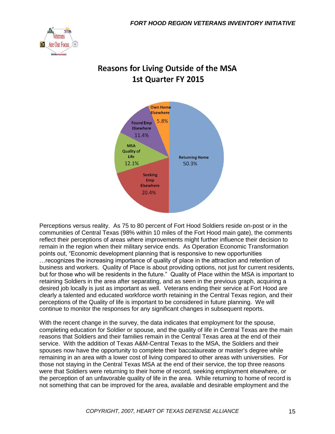

## **Reasons for Living Outside of the MSA 1st Quarter FY 2015**



Perceptions versus reality. As 75 to 80 percent of Fort Hood Soldiers reside on-post or in the communities of Central Texas (98% within 10 miles of the Fort Hood main gate), the comments reflect their perceptions of areas where improvements might further influence their decision to remain in the region when their military service ends. As Operation Economic Transformation points out, "Economic development planning that is responsive to new opportunities …recognizes the increasing importance of quality of place in the attraction and retention of business and workers. Quality of Place is about providing options, not just for current residents, but for those who will be residents in the future." Quality of Place within the MSA is important to retaining Soldiers in the area after separating, and as seen in the previous graph, acquiring a desired job locally is just as important as well. Veterans ending their service at Fort Hood are clearly a talented and educated workforce worth retaining in the Central Texas region, and their perceptions of the Quality of life is important to be considered in future planning. We will continue to monitor the responses for any significant changes in subsequent reports.

With the recent change in the survey, the data indicates that employment for the spouse, completing education for Soldier or spouse, and the quality of life in Central Texas are the main reasons that Soldiers and their families remain in the Central Texas area at the end of their service. With the addition of Texas A&M-Central Texas to the MSA, the Soldiers and their spouses now have the opportunity to complete their baccalaureate or master's degree while remaining in an area with a lower cost of living compared to other areas with universities. For those not staying in the Central Texas MSA at the end of their service, the top three reasons were that Soldiers were returning to their home of record, seeking employment elsewhere, or the perception of an unfavorable quality of life in the area. While returning to home of record is not something that can be improved for the area, available and desirable employment and the